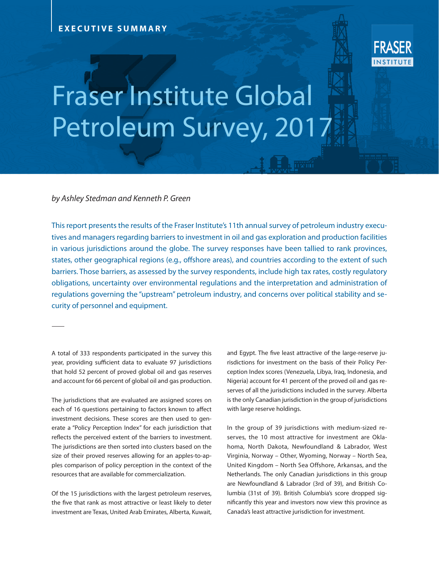## **EXECUTIVE SUMMARY**



# Fraser Institute Global Petroleum Survey, 201

### *by Ashley Stedman and Kenneth P. Green*

This report presents the results of the Fraser Institute's 11th annual survey of petroleum industry executives and managers regarding barriers to investment in oil and gas exploration and production facilities in various jurisdictions around the globe. The survey responses have been tallied to rank provinces, states, other geographical regions (e.g., offshore areas), and countries according to the extent of such barriers. Those barriers, as assessed by the survey respondents, include high tax rates, costly regulatory obligations, uncertainty over environmental regulations and the interpretation and administration of regulations governing the "upstream" petroleum industry, and concerns over political stability and security of personnel and equipment.

A total of 333 respondents participated in the survey this year, providing sufficient data to evaluate 97 jurisdictions that hold 52 percent of proved global oil and gas reserves and account for 66 percent of global oil and gas production.

The jurisdictions that are evaluated are assigned scores on each of 16 questions pertaining to factors known to affect investment decisions. These scores are then used to generate a "Policy Perception Index" for each jurisdiction that reflects the perceived extent of the barriers to investment. The jurisdictions are then sorted into clusters based on the size of their proved reserves allowing for an apples-to-apples comparison of policy perception in the context of the resources that are available for commercialization.

Of the 15 jurisdictions with the largest petroleum reserves, the five that rank as most attractive or least likely to deter investment are Texas, United Arab Emirates, Alberta, Kuwait, and Egypt. The five least attractive of the large-reserve jurisdictions for investment on the basis of their Policy Perception Index scores (Venezuela, Libya, Iraq, Indonesia, and Nigeria) account for 41 percent of the proved oil and gas reserves of all the jurisdictions included in the survey. Alberta is the only Canadian jurisdiction in the group of jurisdictions with large reserve holdings.

In the group of 39 jurisdictions with medium-sized reserves, the 10 most attractive for investment are Oklahoma, North Dakota, Newfoundland & Labrador, West Virginia, Norway – Other, Wyoming, Norway – North Sea, United Kingdom – North Sea Offshore, Arkansas, and the Netherlands. The only Canadian jurisdictions in this group are Newfoundland & Labrador (3rd of 39), and British Columbia (31st of 39). British Columbia's score dropped significantly this year and investors now view this province as Canada's least attractive jurisdiction for investment.